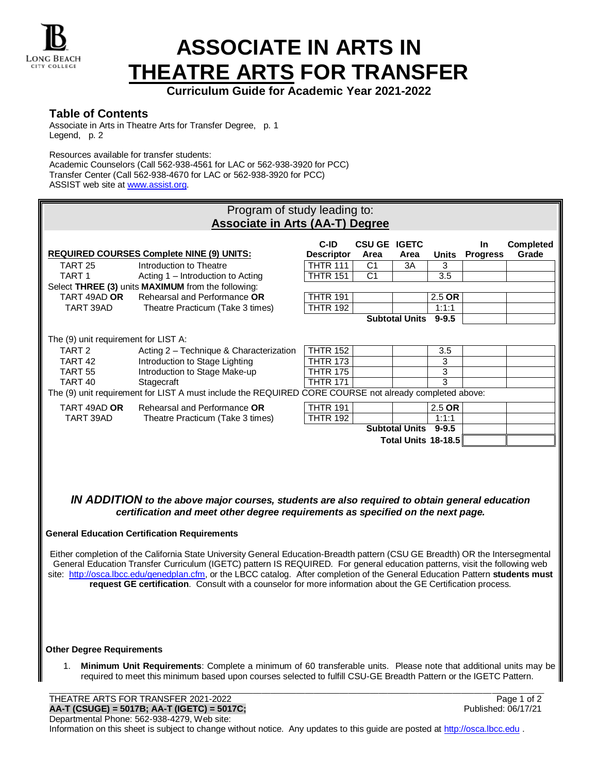

## **ASSOCIATE IN ARTS IN THEATRE ARTS FOR TRANSFER**

**Curriculum Guide for Academic Year 2021-2022**

## **Table of Contents**

Associate in Arts in Theatre Arts for Transfer Degree, p. 1 Legend, p. 2

Resources available for transfer students:

Academic Counselors (Call 562-938-4561 for LAC or 562-938-3920 for PCC) Transfer Center (Call 562-938-4670 for LAC or 562-938-3920 for PCC) ASSIST web site a[t www.assist.org.](http://www.assist.org/)

| Program of study leading to:                                                                                                                                                                                                                                                                                                                                                                                                                                                                                 |                                                                                                        |                           |                             |                       |                     |                        |                           |  |  |
|--------------------------------------------------------------------------------------------------------------------------------------------------------------------------------------------------------------------------------------------------------------------------------------------------------------------------------------------------------------------------------------------------------------------------------------------------------------------------------------------------------------|--------------------------------------------------------------------------------------------------------|---------------------------|-----------------------------|-----------------------|---------------------|------------------------|---------------------------|--|--|
| <b>Associate in Arts (AA-T) Degree</b>                                                                                                                                                                                                                                                                                                                                                                                                                                                                       |                                                                                                        |                           |                             |                       |                     |                        |                           |  |  |
|                                                                                                                                                                                                                                                                                                                                                                                                                                                                                                              | <b>REQUIRED COURSES Complete NINE (9) UNITS:</b>                                                       | C-ID<br><b>Descriptor</b> | <b>CSU GE IGETC</b><br>Area | Area                  | <b>Units</b>        | In.<br><b>Progress</b> | <b>Completed</b><br>Grade |  |  |
| TART <sub>25</sub>                                                                                                                                                                                                                                                                                                                                                                                                                                                                                           | Introduction to Theatre                                                                                | <b>THTR 111</b>           | C1                          | 3A                    | 3                   |                        |                           |  |  |
| TART <sub>1</sub>                                                                                                                                                                                                                                                                                                                                                                                                                                                                                            | Acting 1 - Introduction to Acting                                                                      | <b>THTR 151</b>           | C <sub>1</sub>              |                       | 3.5                 |                        |                           |  |  |
|                                                                                                                                                                                                                                                                                                                                                                                                                                                                                                              | Select THREE (3) units MAXIMUM from the following:                                                     |                           |                             |                       |                     |                        |                           |  |  |
| TART 49AD OR                                                                                                                                                                                                                                                                                                                                                                                                                                                                                                 | Rehearsal and Performance OR                                                                           | <b>THTR 191</b>           |                             |                       | $2.5$ OR            |                        |                           |  |  |
| TART 39AD                                                                                                                                                                                                                                                                                                                                                                                                                                                                                                    | Theatre Practicum (Take 3 times)                                                                       | <b>THTR 192</b>           |                             |                       | 1:1:1               |                        |                           |  |  |
|                                                                                                                                                                                                                                                                                                                                                                                                                                                                                                              |                                                                                                        |                           |                             | <b>Subtotal Units</b> | $9 - 9.5$           |                        |                           |  |  |
| The (9) unit requirement for LIST A:                                                                                                                                                                                                                                                                                                                                                                                                                                                                         |                                                                                                        |                           |                             |                       |                     |                        |                           |  |  |
| TART <sub>2</sub>                                                                                                                                                                                                                                                                                                                                                                                                                                                                                            | Acting 2 - Technique & Characterization                                                                | <b>THTR 152</b>           |                             |                       | 3.5                 |                        |                           |  |  |
| TART <sub>42</sub>                                                                                                                                                                                                                                                                                                                                                                                                                                                                                           | Introduction to Stage Lighting                                                                         | <b>THTR 173</b>           |                             |                       | 3                   |                        |                           |  |  |
| <b>TART 55</b>                                                                                                                                                                                                                                                                                                                                                                                                                                                                                               | Introduction to Stage Make-up                                                                          | <b>THTR 175</b>           |                             |                       | 3                   |                        |                           |  |  |
| TART <sub>40</sub>                                                                                                                                                                                                                                                                                                                                                                                                                                                                                           | Stagecraft                                                                                             | <b>THTR 171</b>           |                             |                       | 3                   |                        |                           |  |  |
|                                                                                                                                                                                                                                                                                                                                                                                                                                                                                                              | The (9) unit requirement for LIST A must include the REQUIRED CORE COURSE not already completed above: |                           |                             |                       |                     |                        |                           |  |  |
| TART 49AD OR                                                                                                                                                                                                                                                                                                                                                                                                                                                                                                 | Rehearsal and Performance OR                                                                           | <b>THTR 191</b>           |                             |                       | $2.5$ OR            |                        |                           |  |  |
| TART 39AD                                                                                                                                                                                                                                                                                                                                                                                                                                                                                                    | Theatre Practicum (Take 3 times)                                                                       | <b>THTR 192</b>           |                             |                       | 1:1:1               |                        |                           |  |  |
|                                                                                                                                                                                                                                                                                                                                                                                                                                                                                                              |                                                                                                        |                           |                             | Subtotal Units 9-9.5  |                     |                        |                           |  |  |
|                                                                                                                                                                                                                                                                                                                                                                                                                                                                                                              |                                                                                                        |                           |                             |                       | Total Units 18-18.5 |                        |                           |  |  |
| IN ADDITION to the above major courses, students are also required to obtain general education<br>certification and meet other degree requirements as specified on the next page.                                                                                                                                                                                                                                                                                                                            |                                                                                                        |                           |                             |                       |                     |                        |                           |  |  |
| <b>General Education Certification Requirements</b>                                                                                                                                                                                                                                                                                                                                                                                                                                                          |                                                                                                        |                           |                             |                       |                     |                        |                           |  |  |
| Either completion of the California State University General Education-Breadth pattern (CSU GE Breadth) OR the Intersegmental<br>General Education Transfer Curriculum (IGETC) pattern IS REQUIRED. For general education patterns, visit the following web<br>site: http://osca.lbcc.edu/genedplan.cfm, or the LBCC catalog. After completion of the General Education Pattern students must<br>request GE certification. Consult with a counselor for more information about the GE Certification process. |                                                                                                        |                           |                             |                       |                     |                        |                           |  |  |
| <b>Other Dearee Requirements</b>                                                                                                                                                                                                                                                                                                                                                                                                                                                                             |                                                                                                        |                           |                             |                       |                     |                        |                           |  |  |

1. **Minimum Unit Requirements**: Complete a minimum of 60 transferable units. Please note that additional units may be required to meet this minimum based upon courses selected to fulfill CSU-GE Breadth Pattern or the IGETC Pattern.

THEATRE ARTS FOR TRANSFER 2021-2022<br> **AA-T (CSUGE) = 5017B; AA-T (IGETC) = 5017C;**<br>
Published: 06/17/21 **AA-T (CSUGE) = 5017B; AA-T (IGETC) = 5017C;** Published: 06/17/21 Departmental Phone: 562-938-4279, Web site: Information on this sheet is subject to change without notice. Any updates to this guide are posted a[t http://osca.lbcc.edu](http://osca.lbcc.edu/) .

\_\_\_\_\_\_\_\_\_\_\_\_\_\_\_\_\_\_\_\_\_\_\_\_\_\_\_\_\_\_\_\_\_\_\_\_\_\_\_\_\_\_\_\_\_\_\_\_\_\_\_\_\_\_\_\_\_\_\_\_\_\_\_\_\_\_\_\_\_\_\_\_\_\_\_\_\_\_\_\_\_\_\_\_\_\_\_\_\_\_\_\_\_\_\_\_\_\_\_\_\_\_\_\_\_\_\_\_\_\_\_\_\_\_